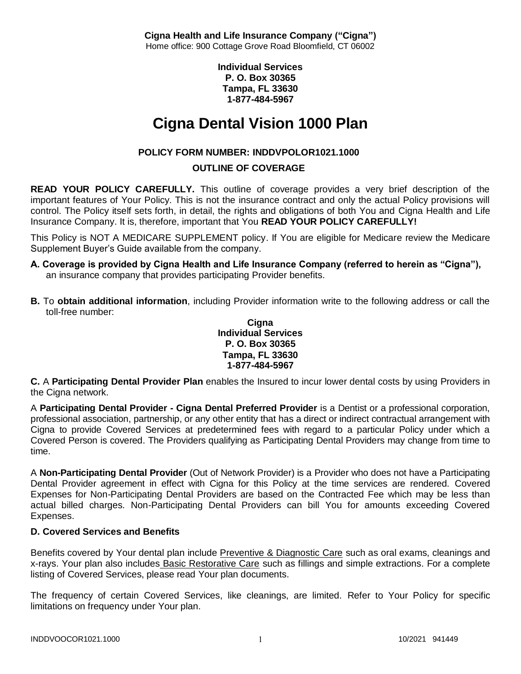**Individual Services P. O. Box 30365 Tampa, FL 33630 1-877-484-5967**

# **Cigna Dental Vision 1000 Plan**

# **POLICY FORM NUMBER: INDDVPOLOR1021.1000**

# **OUTLINE OF COVERAGE**

**READ YOUR POLICY CAREFULLY.** This outline of coverage provides a very brief description of the important features of Your Policy. This is not the insurance contract and only the actual Policy provisions will control. The Policy itself sets forth, in detail, the rights and obligations of both You and Cigna Health and Life Insurance Company. It is, therefore, important that You **READ YOUR POLICY CAREFULLY!** 

This Policy is NOT A MEDICARE SUPPLEMENT policy. If You are eligible for Medicare review the Medicare Supplement Buyer's Guide available from the company.

- **A. Coverage is provided by Cigna Health and Life Insurance Company (referred to herein as "Cigna"),**  an insurance company that provides participating Provider benefits.
- **B.** To **obtain additional information**, including Provider information write to the following address or call the toll-free number:

#### **Cigna Individual Services P. O. Box 30365 Tampa, FL 33630 1-877-484-5967**

**C.** A **Participating Dental Provider Plan** enables the Insured to incur lower dental costs by using Providers in the Cigna network.

A **Participating Dental Provider - Cigna Dental Preferred Provider** is a Dentist or a professional corporation, professional association, partnership, or any other entity that has a direct or indirect contractual arrangement with Cigna to provide Covered Services at predetermined fees with regard to a particular Policy under which a Covered Person is covered. The Providers qualifying as Participating Dental Providers may change from time to time.

A **Non-Participating Dental Provider** (Out of Network Provider) is a Provider who does not have a Participating Dental Provider agreement in effect with Cigna for this Policy at the time services are rendered. Covered Expenses for Non-Participating Dental Providers are based on the Contracted Fee which may be less than actual billed charges. Non-Participating Dental Providers can bill You for amounts exceeding Covered Expenses.

# **D. Covered Services and Benefits**

Benefits covered by Your dental plan include Preventive & Diagnostic Care such as oral exams, cleanings and x-rays. Your plan also includes Basic Restorative Care such as fillings and simple extractions. For a complete listing of Covered Services, please read Your plan documents.

The frequency of certain Covered Services, like cleanings, are limited. Refer to Your Policy for specific limitations on frequency under Your plan.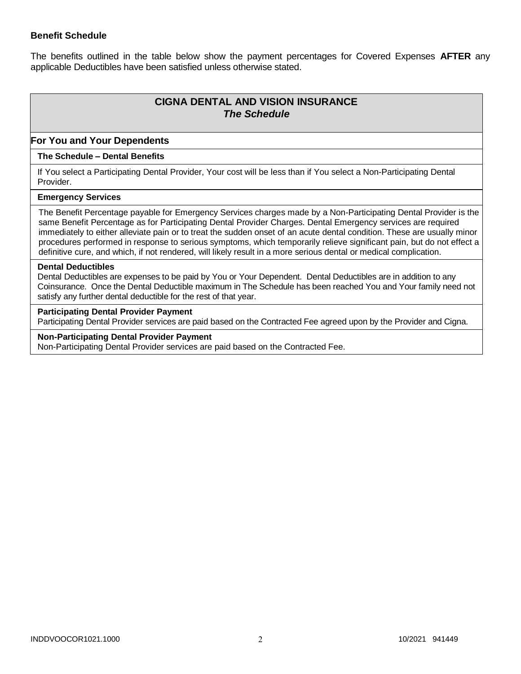## **Benefit Schedule**

The benefits outlined in the table below show the payment percentages for Covered Expenses **AFTER** any applicable Deductibles have been satisfied unless otherwise stated.

# **CIGNA DENTAL AND VISION INSURANCE** *The Schedule*

#### **For You and Your Dependents**

#### **The Schedule – Dental Benefits**

If You select a Participating Dental Provider, Your cost will be less than if You select a Non-Participating Dental Provider.

#### **Emergency Services**

The Benefit Percentage payable for Emergency Services charges made by a Non-Participating Dental Provider is the same Benefit Percentage as for Participating Dental Provider Charges. Dental Emergency services are required immediately to either alleviate pain or to treat the sudden onset of an acute dental condition. These are usually minor procedures performed in response to serious symptoms, which temporarily relieve significant pain, but do not effect a definitive cure, and which, if not rendered, will likely result in a more serious dental or medical complication.

#### **Dental Deductibles**

Dental Deductibles are expenses to be paid by You or Your Dependent. Dental Deductibles are in addition to any Coinsurance. Once the Dental Deductible maximum in The Schedule has been reached You and Your family need not satisfy any further dental deductible for the rest of that year.

#### **Participating Dental Provider Payment**

Participating Dental Provider services are paid based on the Contracted Fee agreed upon by the Provider and Cigna.

# **Non-Participating Dental Provider Payment**

Non-Participating Dental Provider services are paid based on the Contracted Fee.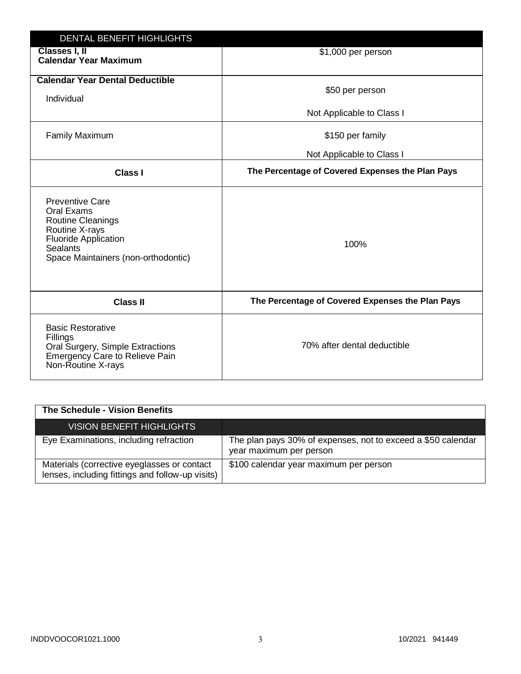| <b>DENTAL BENEFIT HIGHLIGHTS</b>                                                                                                                                     |                                                  |
|----------------------------------------------------------------------------------------------------------------------------------------------------------------------|--------------------------------------------------|
| Classes I, II<br><b>Calendar Year Maximum</b>                                                                                                                        | \$1,000 per person                               |
| <b>Calendar Year Dental Deductible</b><br>Individual                                                                                                                 | \$50 per person                                  |
|                                                                                                                                                                      | Not Applicable to Class I                        |
| <b>Family Maximum</b>                                                                                                                                                | \$150 per family                                 |
|                                                                                                                                                                      | Not Applicable to Class I                        |
| <b>Class I</b>                                                                                                                                                       | The Percentage of Covered Expenses the Plan Pays |
| <b>Preventive Care</b><br>Oral Exams<br><b>Routine Cleanings</b><br>Routine X-rays<br><b>Fluoride Application</b><br>Sealants<br>Space Maintainers (non-orthodontic) | 100%                                             |
| <b>Class II</b>                                                                                                                                                      | The Percentage of Covered Expenses the Plan Pays |
| <b>Basic Restorative</b><br>Fillings<br>Oral Surgery, Simple Extractions<br>Emergency Care to Relieve Pain<br>Non-Routine X-rays                                     | 70% after dental deductible                      |

| The Schedule - Vision Benefits                                                                  |                                                                                         |
|-------------------------------------------------------------------------------------------------|-----------------------------------------------------------------------------------------|
| <b>VISION BENEFIT HIGHLIGHTS</b>                                                                |                                                                                         |
| Eye Examinations, including refraction                                                          | The plan pays 30% of expenses, not to exceed a \$50 calendar<br>year maximum per person |
| Materials (corrective eyeglasses or contact<br>lenses, including fittings and follow-up visits) | \$100 calendar year maximum per person                                                  |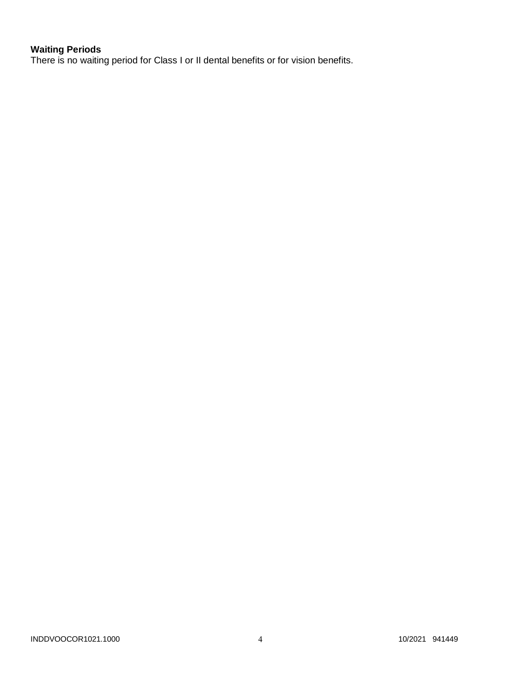# **Waiting Periods**

There is no waiting period for Class I or II dental benefits or for vision benefits.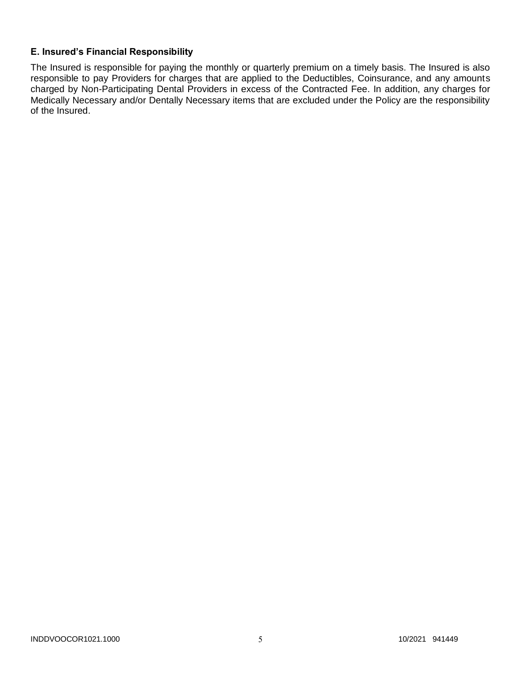# **E. Insured's Financial Responsibility**

The Insured is responsible for paying the monthly or quarterly premium on a timely basis. The Insured is also responsible to pay Providers for charges that are applied to the Deductibles, Coinsurance, and any amounts charged by Non-Participating Dental Providers in excess of the Contracted Fee. In addition, any charges for Medically Necessary and/or Dentally Necessary items that are excluded under the Policy are the responsibility of the Insured.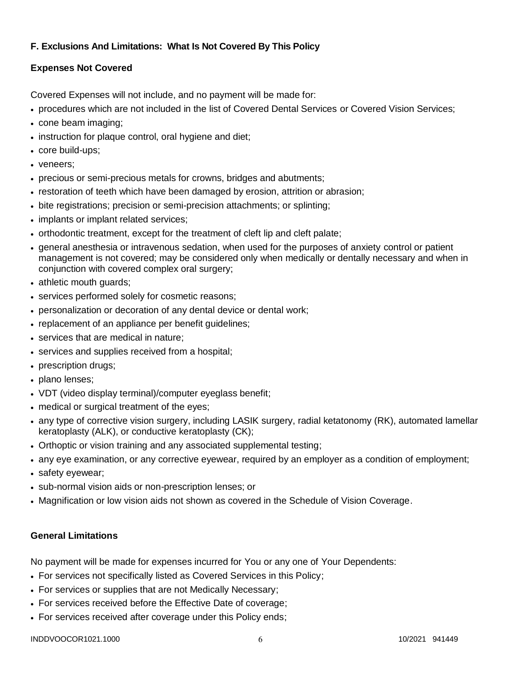# **F. Exclusions And Limitations: What Is Not Covered By This Policy**

# **Expenses Not Covered**

Covered Expenses will not include, and no payment will be made for:

- procedures which are not included in the list of Covered Dental Services or Covered Vision Services;
- cone beam imaging;
- instruction for plaque control, oral hygiene and diet;
- core build-ups;
- veneers:
- precious or semi-precious metals for crowns, bridges and abutments;
- restoration of teeth which have been damaged by erosion, attrition or abrasion;
- bite registrations; precision or semi-precision attachments; or splinting;
- implants or implant related services;
- orthodontic treatment, except for the treatment of cleft lip and cleft palate;
- general anesthesia or intravenous sedation, when used for the purposes of anxiety control or patient management is not covered; may be considered only when medically or dentally necessary and when in conjunction with covered complex oral surgery;
- athletic mouth guards;
- services performed solely for cosmetic reasons;
- personalization or decoration of any dental device or dental work;
- replacement of an appliance per benefit quidelines;
- services that are medical in nature:
- services and supplies received from a hospital;
- prescription drugs;
- plano lenses;
- VDT (video display terminal)/computer eyeglass benefit;
- medical or surgical treatment of the eyes;
- any type of corrective vision surgery, including LASIK surgery, radial ketatonomy (RK), automated lamellar keratoplasty (ALK), or conductive keratoplasty (CK);
- Orthoptic or vision training and any associated supplemental testing;
- any eye examination, or any corrective eyewear, required by an employer as a condition of employment;
- safety eyewear;
- sub-normal vision aids or non-prescription lenses; or
- Magnification or low vision aids not shown as covered in the Schedule of Vision Coverage.

# **General Limitations**

No payment will be made for expenses incurred for You or any one of Your Dependents:

- For services not specifically listed as Covered Services in this Policy;
- For services or supplies that are not Medically Necessary;
- For services received before the Effective Date of coverage;
- For services received after coverage under this Policy ends;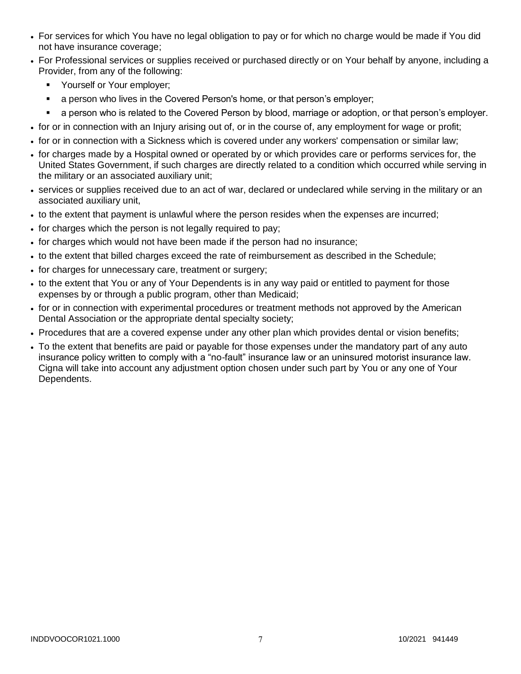- For services for which You have no legal obligation to pay or for which no charge would be made if You did not have insurance coverage;
- For Professional services or supplies received or purchased directly or on Your behalf by anyone, including a Provider, from any of the following:
	- Yourself or Your employer;
	- a person who lives in the Covered Person's home, or that person's employer;
	- a person who is related to the Covered Person by blood, marriage or adoption, or that person's employer.
- for or in connection with an Injury arising out of, or in the course of, any employment for wage or profit;
- for or in connection with a Sickness which is covered under any workers' compensation or similar law;
- for charges made by a Hospital owned or operated by or which provides care or performs services for, the United States Government, if such charges are directly related to a condition which occurred while serving in the military or an associated auxiliary unit;
- services or supplies received due to an act of war, declared or undeclared while serving in the military or an associated auxiliary unit,
- to the extent that payment is unlawful where the person resides when the expenses are incurred;
- for charges which the person is not legally required to pay;
- for charges which would not have been made if the person had no insurance;
- to the extent that billed charges exceed the rate of reimbursement as described in the Schedule;
- for charges for unnecessary care, treatment or surgery;
- to the extent that You or any of Your Dependents is in any way paid or entitled to payment for those expenses by or through a public program, other than Medicaid;
- for or in connection with experimental procedures or treatment methods not approved by the American Dental Association or the appropriate dental specialty society;
- Procedures that are a covered expense under any other plan which provides dental or vision benefits;
- To the extent that benefits are paid or payable for those expenses under the mandatory part of any auto insurance policy written to comply with a "no-fault" insurance law or an uninsured motorist insurance law. Cigna will take into account any adjustment option chosen under such part by You or any one of Your Dependents.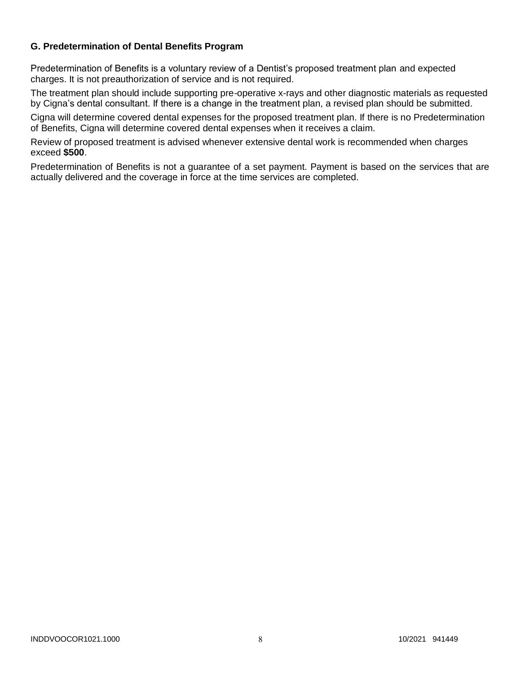# **G. Predetermination of Dental Benefits Program**

Predetermination of Benefits is a voluntary review of a Dentist's proposed treatment plan and expected charges. It is not preauthorization of service and is not required.

The treatment plan should include supporting pre-operative x-rays and other diagnostic materials as requested by Cigna's dental consultant. If there is a change in the treatment plan, a revised plan should be submitted.

Cigna will determine covered dental expenses for the proposed treatment plan. If there is no Predetermination of Benefits, Cigna will determine covered dental expenses when it receives a claim.

Review of proposed treatment is advised whenever extensive dental work is recommended when charges exceed **\$500**.

Predetermination of Benefits is not a guarantee of a set payment. Payment is based on the services that are actually delivered and the coverage in force at the time services are completed.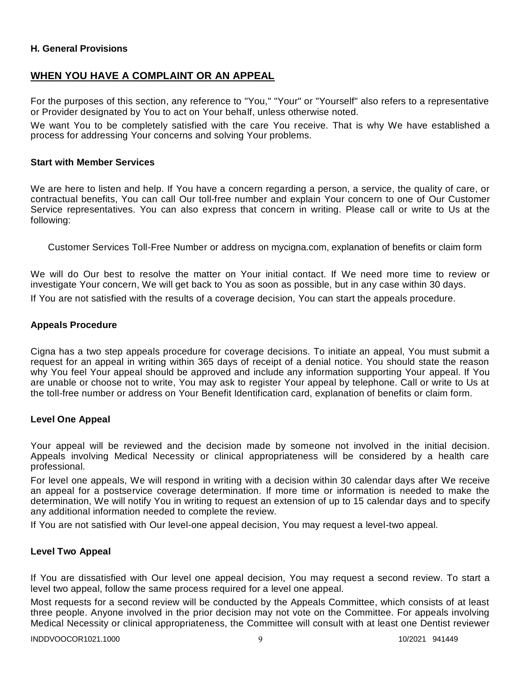## **H. General Provisions**

# **WHEN YOU HAVE A COMPLAINT OR AN APPEAL**

For the purposes of this section, any reference to "You," "Your" or "Yourself" also refers to a representative or Provider designated by You to act on Your behalf, unless otherwise noted.

We want You to be completely satisfied with the care You receive. That is why We have established a process for addressing Your concerns and solving Your problems.

#### **Start with Member Services**

We are here to listen and help. If You have a concern regarding a person, a service, the quality of care, or contractual benefits, You can call Our toll-free number and explain Your concern to one of Our Customer Service representatives. You can also express that concern in writing. Please call or write to Us at the following:

Customer Services Toll-Free Number or address on mycigna.com, explanation of benefits or claim form

We will do Our best to resolve the matter on Your initial contact. If We need more time to review or investigate Your concern, We will get back to You as soon as possible, but in any case within 30 days. If You are not satisfied with the results of a coverage decision, You can start the appeals procedure.

#### **Appeals Procedure**

Cigna has a two step appeals procedure for coverage decisions. To initiate an appeal, You must submit a request for an appeal in writing within 365 days of receipt of a denial notice. You should state the reason why You feel Your appeal should be approved and include any information supporting Your appeal. If You are unable or choose not to write, You may ask to register Your appeal by telephone. Call or write to Us at the toll-free number or address on Your Benefit Identification card, explanation of benefits or claim form.

#### **Level One Appeal**

Your appeal will be reviewed and the decision made by someone not involved in the initial decision. Appeals involving Medical Necessity or clinical appropriateness will be considered by a health care professional.

For level one appeals, We will respond in writing with a decision within 30 calendar days after We receive an appeal for a postservice coverage determination. If more time or information is needed to make the determination, We will notify You in writing to request an extension of up to 15 calendar days and to specify any additional information needed to complete the review.

If You are not satisfied with Our level-one appeal decision, You may request a level-two appeal.

#### **Level Two Appeal**

If You are dissatisfied with Our level one appeal decision, You may request a second review. To start a level two appeal, follow the same process required for a level one appeal.

Most requests for a second review will be conducted by the Appeals Committee, which consists of at least three people. Anyone involved in the prior decision may not vote on the Committee. For appeals involving Medical Necessity or clinical appropriateness, the Committee will consult with at least one Dentist reviewer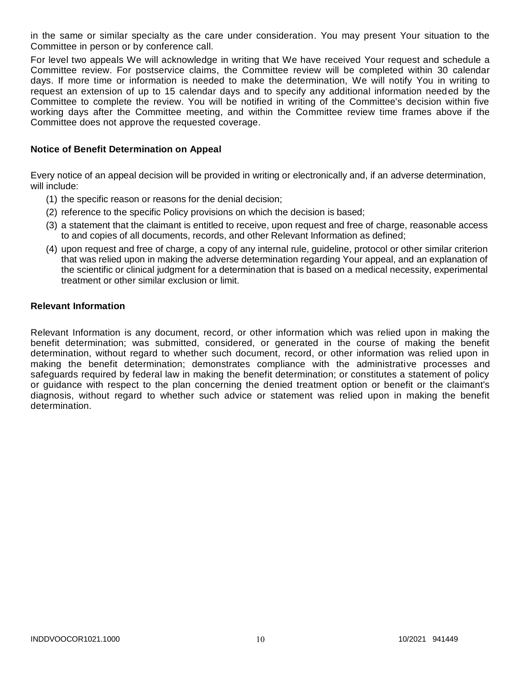in the same or similar specialty as the care under consideration. You may present Your situation to the Committee in person or by conference call.

For level two appeals We will acknowledge in writing that We have received Your request and schedule a Committee review. For postservice claims, the Committee review will be completed within 30 calendar days. If more time or information is needed to make the determination, We will notify You in writing to request an extension of up to 15 calendar days and to specify any additional information needed by the Committee to complete the review. You will be notified in writing of the Committee's decision within five working days after the Committee meeting, and within the Committee review time frames above if the Committee does not approve the requested coverage.

### **Notice of Benefit Determination on Appeal**

Every notice of an appeal decision will be provided in writing or electronically and, if an adverse determination, will include:

- (1) the specific reason or reasons for the denial decision;
- (2) reference to the specific Policy provisions on which the decision is based;
- (3) a statement that the claimant is entitled to receive, upon request and free of charge, reasonable access to and copies of all documents, records, and other Relevant Information as defined;
- (4) upon request and free of charge, a copy of any internal rule, guideline, protocol or other similar criterion that was relied upon in making the adverse determination regarding Your appeal, and an explanation of the scientific or clinical judgment for a determination that is based on a medical necessity, experimental treatment or other similar exclusion or limit.

#### **Relevant Information**

Relevant Information is any document, record, or other information which was relied upon in making the benefit determination; was submitted, considered, or generated in the course of making the benefit determination, without regard to whether such document, record, or other information was relied upon in making the benefit determination; demonstrates compliance with the administrative processes and safeguards required by federal law in making the benefit determination; or constitutes a statement of policy or guidance with respect to the plan concerning the denied treatment option or benefit or the claimant's diagnosis, without regard to whether such advice or statement was relied upon in making the benefit determination.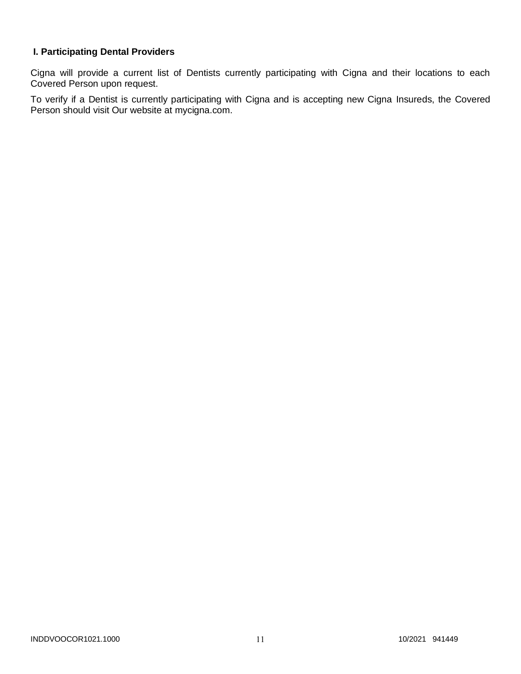# **I. Participating Dental Providers**

Cigna will provide a current list of Dentists currently participating with Cigna and their locations to each Covered Person upon request.

To verify if a Dentist is currently participating with Cigna and is accepting new Cigna Insureds, the Covered Person should visit Our website at mycigna.com.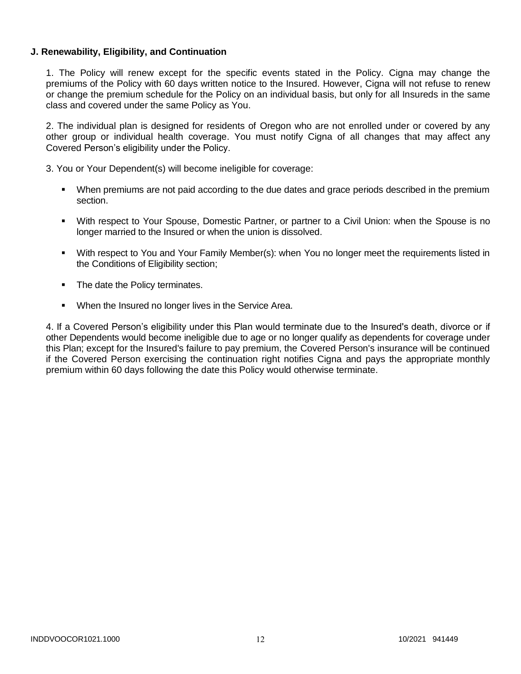## **J. Renewability, Eligibility, and Continuation**

1. The Policy will renew except for the specific events stated in the Policy. Cigna may change the premiums of the Policy with 60 days written notice to the Insured. However, Cigna will not refuse to renew or change the premium schedule for the Policy on an individual basis, but only for all Insureds in the same class and covered under the same Policy as You.

2. The individual plan is designed for residents of Oregon who are not enrolled under or covered by any other group or individual health coverage. You must notify Cigna of all changes that may affect any Covered Person's eligibility under the Policy.

3. You or Your Dependent(s) will become ineligible for coverage:

- When premiums are not paid according to the due dates and grace periods described in the premium section.
- With respect to Your Spouse, Domestic Partner, or partner to a Civil Union: when the Spouse is no longer married to the Insured or when the union is dissolved.
- With respect to You and Your Family Member(s): when You no longer meet the requirements listed in the Conditions of Eligibility section;
- The date the Policy terminates.
- **When the Insured no longer lives in the Service Area.**

4. If a Covered Person's eligibility under this Plan would terminate due to the Insured's death, divorce or if other Dependents would become ineligible due to age or no longer qualify as dependents for coverage under this Plan; except for the Insured's failure to pay premium, the Covered Person's insurance will be continued if the Covered Person exercising the continuation right notifies Cigna and pays the appropriate monthly premium within 60 days following the date this Policy would otherwise terminate.